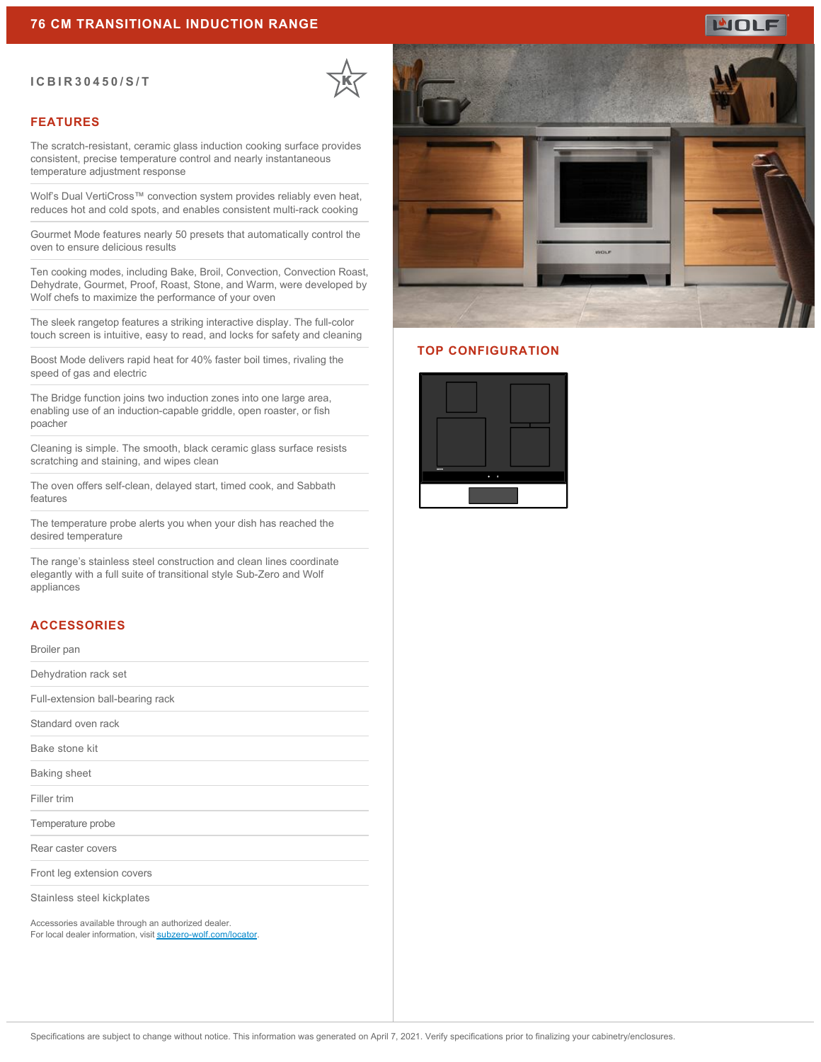#### **ICBIR30450/S/T**



### **FEATURES**

The scratch-resistant, ceramic glass induction cooking surface provides consistent, precise temperature control and nearly instantaneous temperature adjustment response

Wolf's Dual VertiCross™ convection system provides reliably even heat, reduces hot and cold spots, and enables consistent multi-rack cooking

Gourmet Mode features nearly 50 presets that automatically control the oven to ensure delicious results

Ten cooking modes, including Bake, Broil, Convection, Convection Roast, Dehydrate, Gourmet, Proof, Roast, Stone, and Warm, were developed by Wolf chefs to maximize the performance of your oven

The sleek rangetop features a striking interactive display. The full-color touch screen is intuitive, easy to read, and locks for safety and cleaning

Boost Mode delivers rapid heat for 40% faster boil times, rivaling the speed of gas and electric

The Bridge function joins two induction zones into one large area, enabling use of an induction-capable griddle, open roaster, or fish poacher

Cleaning is simple. The smooth, black ceramic glass surface resists scratching and staining, and wipes clean

The oven offers self-clean, delayed start, timed cook, and Sabbath features

The temperature probe alerts you when your dish has reached the desired temperature

The range's stainless steel construction and clean lines coordinate elegantly with a full suite of transitional style Sub-Zero and Wolf appliances

## **ACCESSORIES**

Broiler pan

Dehydration rack set

Full-extension ball-bearing rack

Standard oven rack

Bake stone kit

Baking sheet

Filler trim

Temperature probe

Rear caster covers

Front leg extension covers

Stainless steel kickplates

Accessories available through an authorized dealer. For local dealer information, visit [subzero-wolf.com/locator.](http://www.subzero-wolf.com/locator)



#### **TOP CONFIGURATION**